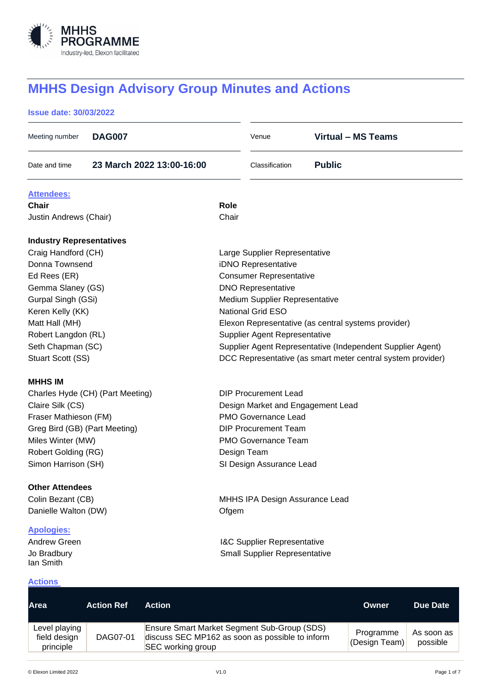

# **MHHS Design Advisory Group Minutes and Actions**

## **Issue date: 30/03/2022**

| Meeting number                   | <b>DAG007</b>     |                           |                               | Venue                                  | <b>Virtual - MS Teams</b>                                   |                 |  |
|----------------------------------|-------------------|---------------------------|-------------------------------|----------------------------------------|-------------------------------------------------------------|-----------------|--|
| Date and time                    |                   | 23 March 2022 13:00-16:00 |                               | Classification                         | <b>Public</b>                                               |                 |  |
| <b>Attendees:</b>                |                   |                           |                               |                                        |                                                             |                 |  |
| Chair                            |                   |                           | <b>Role</b>                   |                                        |                                                             |                 |  |
| Justin Andrews (Chair)           |                   |                           | Chair                         |                                        |                                                             |                 |  |
| <b>Industry Representatives</b>  |                   |                           |                               |                                        |                                                             |                 |  |
| Craig Handford (CH)              |                   |                           | Large Supplier Representative |                                        |                                                             |                 |  |
| Donna Townsend                   |                   |                           | iDNO Representative           |                                        |                                                             |                 |  |
| Ed Rees (ER)                     |                   |                           |                               | <b>Consumer Representative</b>         |                                                             |                 |  |
| Gemma Slaney (GS)                |                   |                           |                               | <b>DNO Representative</b>              |                                                             |                 |  |
| Gurpal Singh (GSi)               |                   |                           |                               | <b>Medium Supplier Representative</b>  |                                                             |                 |  |
| Keren Kelly (KK)                 |                   |                           |                               | <b>National Grid ESO</b>               |                                                             |                 |  |
| Matt Hall (MH)                   |                   |                           |                               |                                        | Elexon Representative (as central systems provider)         |                 |  |
| Robert Langdon (RL)              |                   |                           |                               | <b>Supplier Agent Representative</b>   |                                                             |                 |  |
| Seth Chapman (SC)                |                   |                           |                               |                                        | Supplier Agent Representative (Independent Supplier Agent)  |                 |  |
| Stuart Scott (SS)                |                   |                           |                               |                                        | DCC Representative (as smart meter central system provider) |                 |  |
| <b>MHHS IM</b>                   |                   |                           |                               |                                        |                                                             |                 |  |
| Charles Hyde (CH) (Part Meeting) |                   |                           |                               | <b>DIP Procurement Lead</b>            |                                                             |                 |  |
| Claire Silk (CS)                 |                   |                           |                               | Design Market and Engagement Lead      |                                                             |                 |  |
| Fraser Mathieson (FM)            |                   |                           |                               | PMO Governance Lead                    |                                                             |                 |  |
| Greg Bird (GB) (Part Meeting)    |                   |                           |                               | <b>DIP Procurement Team</b>            |                                                             |                 |  |
| Miles Winter (MW)                |                   |                           |                               | <b>PMO Governance Team</b>             |                                                             |                 |  |
| Robert Golding (RG)              |                   |                           | Design Team                   |                                        |                                                             |                 |  |
| Simon Harrison (SH)              |                   |                           |                               | SI Design Assurance Lead               |                                                             |                 |  |
| <b>Other Attendees</b>           |                   |                           |                               |                                        |                                                             |                 |  |
| Colin Bezant (CB)                |                   |                           |                               | MHHS IPA Design Assurance Lead         |                                                             |                 |  |
| Danielle Walton (DW)             |                   |                           | Ofgem                         |                                        |                                                             |                 |  |
| <b>Apologies:</b>                |                   |                           |                               |                                        |                                                             |                 |  |
| Andrew Green                     |                   |                           |                               | <b>I&amp;C Supplier Representative</b> |                                                             |                 |  |
| Jo Bradbury<br>lan Smith         |                   |                           |                               | <b>Small Supplier Representative</b>   |                                                             |                 |  |
| <b>Actions</b>                   |                   |                           |                               |                                        |                                                             |                 |  |
| <b>Area</b>                      | <b>Action Ref</b> | <b>Action</b>             |                               |                                        | <b>Owner</b>                                                | <b>Due Date</b> |  |

| Level playing<br>field design<br>principle | DAG07-01 | Ensure Smart Market Segment Sub-Group (SDS)<br>discuss SEC MP162 as soon as possible to inform<br>SEC working group | Programme<br>(Design Team) | As soon as<br>possible |
|--------------------------------------------|----------|---------------------------------------------------------------------------------------------------------------------|----------------------------|------------------------|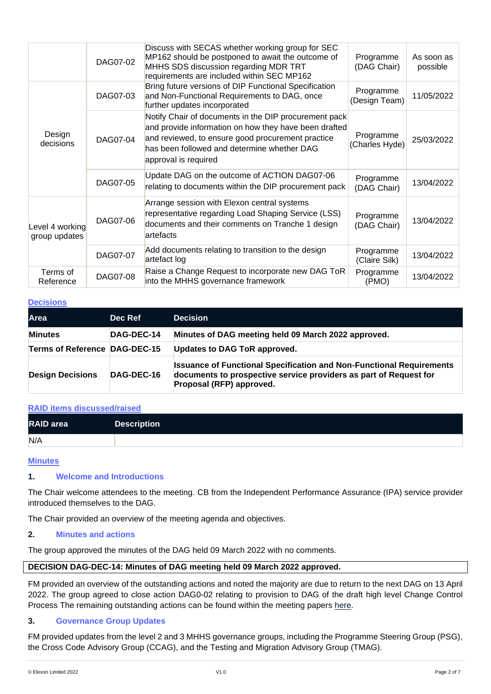|                                  | DAG07-02 | Discuss with SECAS whether working group for SEC<br>MP162 should be postponed to await the outcome of<br>MHHS SDS discussion regarding MDR TRT<br>requirements are included within SEC MP162                                               | Programme<br>(DAG Chair)    | As soon as<br>possible |
|----------------------------------|----------|--------------------------------------------------------------------------------------------------------------------------------------------------------------------------------------------------------------------------------------------|-----------------------------|------------------------|
| Design<br>decisions              | DAG07-03 | Bring future versions of DIP Functional Specification<br>and Non-Functional Requirements to DAG, once<br>further updates incorporated                                                                                                      | Programme<br>(Design Team)  | 11/05/2022             |
|                                  | DAG07-04 | Notify Chair of documents in the DIP procurement pack<br>and provide information on how they have been drafted<br>and reviewed, to ensure good procurement practice<br>has been followed and determine whether DAG<br>approval is required | Programme<br>(Charles Hyde) | 25/03/2022             |
|                                  | DAG07-05 | Update DAG on the outcome of ACTION DAG07-06<br>relating to documents within the DIP procurement pack                                                                                                                                      | Programme<br>(DAG Chair)    | 13/04/2022             |
| Level 4 working<br>group updates | DAG07-06 | Arrange session with Elexon central systems<br>representative regarding Load Shaping Service (LSS)<br>documents and their comments on Tranche 1 design<br>artefacts                                                                        | Programme<br>(DAG Chair)    | 13/04/2022             |
|                                  | DAG07-07 | Add documents relating to transition to the design<br>artefact log                                                                                                                                                                         | Programme<br>(Claire Silk)  | 13/04/2022             |
| Terms of<br>Reference            | DAG07-08 | Raise a Change Request to incorporate new DAG ToR<br>into the MHHS governance framework                                                                                                                                                    | Programme<br>(PMO)          | 13/04/2022             |

#### **Decisions**

| <b>Area</b>                          | Dec Ref    | <b>Decision</b>                                                                                                                                                              |
|--------------------------------------|------------|------------------------------------------------------------------------------------------------------------------------------------------------------------------------------|
| <b>Minutes</b>                       | DAG-DEC-14 | Minutes of DAG meeting held 09 March 2022 approved.                                                                                                                          |
| <b>Terms of Reference DAG-DEC-15</b> |            | <b>Updates to DAG ToR approved.</b>                                                                                                                                          |
| <b>Design Decisions</b>              | DAG-DEC-16 | <b>Issuance of Functional Specification and Non-Functional Requirements</b><br>documents to prospective service providers as part of Request for<br>Proposal (RFP) approved. |

#### **RAID items discussed/raised**

| <b>RAID</b> area | <b>Description</b> |
|------------------|--------------------|
| N/A              |                    |

#### **Minutes**

# **1. Welcome and Introductions**

The Chair welcome attendees to the meeting. CB from the Independent Performance Assurance (IPA) service provider introduced themselves to the DAG.

The Chair provided an overview of the meeting agenda and objectives.

#### **2. Minutes and actions**

The group approved the minutes of the DAG held 09 March 2022 with no comments.

#### **DECISION DAG-DEC-14: Minutes of DAG meeting held 09 March 2022 approved.**

FM provided an overview of the outstanding actions and noted the majority are due to return to the next DAG on 13 April 2022. The group agreed to close action DAG0-02 relating to provision to DAG of the draft high level Change Control Process The remaining outstanding actions can be found within the meeting papers [here.](https://mhhsprogramme-production-cdn.s3.eu-west-2.amazonaws.com/wp-content/uploads/2022/03/16144220/DAG-pack_23-March-2022.zip)

#### **3. Governance Group Updates**

FM provided updates from the level 2 and 3 MHHS governance groups, including the Programme Steering Group (PSG), the Cross Code Advisory Group (CCAG), and the Testing and Migration Advisory Group (TMAG).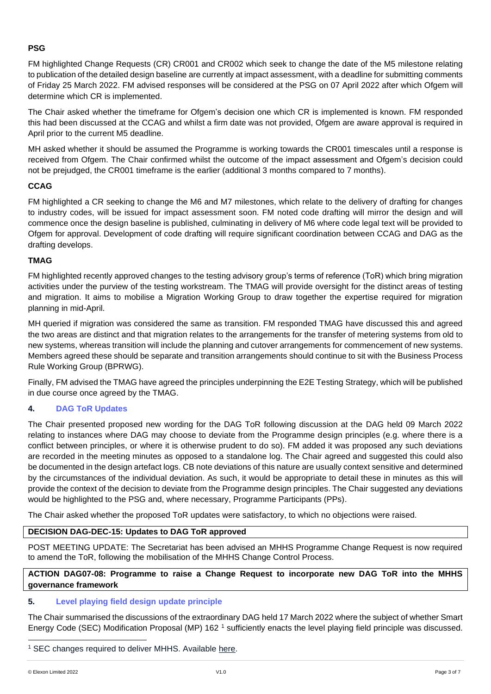# **PSG**

FM highlighted Change Requests (CR) CR001 and CR002 which seek to change the date of the M5 milestone relating to publication of the detailed design baseline are currently at impact assessment, with a deadline for submitting comments of Friday 25 March 2022. FM advised responses will be considered at the PSG on 07 April 2022 after which Ofgem will determine which CR is implemented.

The Chair asked whether the timeframe for Ofgem's decision one which CR is implemented is known. FM responded this had been discussed at the CCAG and whilst a firm date was not provided, Ofgem are aware approval is required in April prior to the current M5 deadline.

MH asked whether it should be assumed the Programme is working towards the CR001 timescales until a response is received from Ofgem. The Chair confirmed whilst the outcome of the impact assessment and Ofgem's decision could not be prejudged, the CR001 timeframe is the earlier (additional 3 months compared to 7 months).

# **CCAG**

FM highlighted a CR seeking to change the M6 and M7 milestones, which relate to the delivery of drafting for changes to industry codes, will be issued for impact assessment soon. FM noted code drafting will mirror the design and will commence once the design baseline is published, culminating in delivery of M6 where code legal text will be provided to Ofgem for approval. Development of code drafting will require significant coordination between CCAG and DAG as the drafting develops.

# **TMAG**

FM highlighted recently approved changes to the testing advisory group's terms of reference (ToR) which bring migration activities under the purview of the testing workstream. The TMAG will provide oversight for the distinct areas of testing and migration. It aims to mobilise a Migration Working Group to draw together the expertise required for migration planning in mid-April.

MH queried if migration was considered the same as transition. FM responded TMAG have discussed this and agreed the two areas are distinct and that migration relates to the arrangements for the transfer of metering systems from old to new systems, whereas transition will include the planning and cutover arrangements for commencement of new systems. Members agreed these should be separate and transition arrangements should continue to sit with the Business Process Rule Working Group (BPRWG).

Finally, FM advised the TMAG have agreed the principles underpinning the E2E Testing Strategy, which will be published in due course once agreed by the TMAG.

# **4. DAG ToR Updates**

The Chair presented proposed new wording for the DAG ToR following discussion at the DAG held 09 March 2022 relating to instances where DAG may choose to deviate from the Programme design principles (e.g. where there is a conflict between principles, or where it is otherwise prudent to do so). FM added it was proposed any such deviations are recorded in the meeting minutes as opposed to a standalone log. The Chair agreed and suggested this could also be documented in the design artefact logs. CB note deviations of this nature are usually context sensitive and determined by the circumstances of the individual deviation. As such, it would be appropriate to detail these in minutes as this will provide the context of the decision to deviate from the Programme design principles. The Chair suggested any deviations would be highlighted to the PSG and, where necessary, Programme Participants (PPs).

The Chair asked whether the proposed ToR updates were satisfactory, to which no objections were raised.

# **DECISION DAG-DEC-15: Updates to DAG ToR approved**

POST MEETING UPDATE: The Secretariat has been advised an MHHS Programme Change Request is now required to amend the ToR, following the mobilisation of the MHHS Change Control Process.

# **ACTION DAG07-08: Programme to raise a Change Request to incorporate new DAG ToR into the MHHS governance framework**

# **5. Level playing field design update principle**

The Chair summarised the discussions of the extraordinary DAG held 17 March 2022 where the subject of whether Smart Energy Code (SEC) Modification Proposal (MP) 162<sup>1</sup> sufficiently enacts the level playing field principle was discussed.

<sup>&</sup>lt;sup>1</sup> SEC changes required to deliver MHHS. Available [here.](https://smartenergycodecompany.co.uk/modifications/sec-changes-required-to-deliver-mhhs/)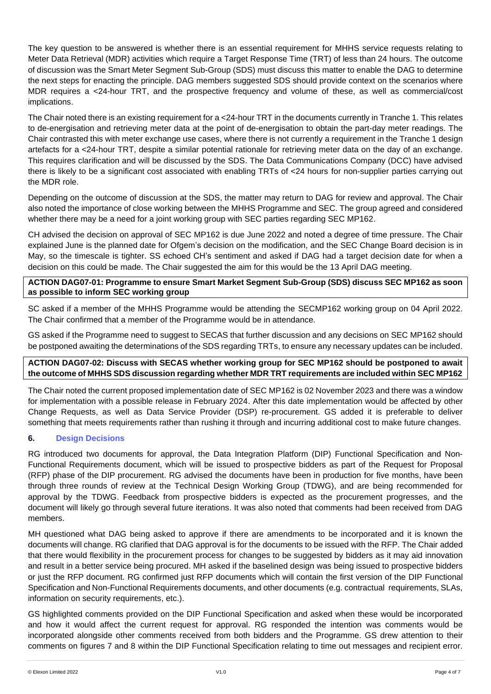The key question to be answered is whether there is an essential requirement for MHHS service requests relating to Meter Data Retrieval (MDR) activities which require a Target Response Time (TRT) of less than 24 hours. The outcome of discussion was the Smart Meter Segment Sub-Group (SDS) must discuss this matter to enable the DAG to determine the next steps for enacting the principle. DAG members suggested SDS should provide context on the scenarios where MDR requires a <24-hour TRT, and the prospective frequency and volume of these, as well as commercial/cost implications.

The Chair noted there is an existing requirement for a <24-hour TRT in the documents currently in Tranche 1. This relates to de-energisation and retrieving meter data at the point of de-energisation to obtain the part-day meter readings. The Chair contrasted this with meter exchange use cases, where there is not currently a requirement in the Tranche 1 design artefacts for a <24-hour TRT, despite a similar potential rationale for retrieving meter data on the day of an exchange. This requires clarification and will be discussed by the SDS. The Data Communications Company (DCC) have advised there is likely to be a significant cost associated with enabling TRTs of <24 hours for non-supplier parties carrying out the MDR role.

Depending on the outcome of discussion at the SDS, the matter may return to DAG for review and approval. The Chair also noted the importance of close working between the MHHS Programme and SEC. The group agreed and considered whether there may be a need for a joint working group with SEC parties regarding SEC MP162.

CH advised the decision on approval of SEC MP162 is due June 2022 and noted a degree of time pressure. The Chair explained June is the planned date for Ofgem's decision on the modification, and the SEC Change Board decision is in May, so the timescale is tighter. SS echoed CH's sentiment and asked if DAG had a target decision date for when a decision on this could be made. The Chair suggested the aim for this would be the 13 April DAG meeting.

#### **ACTION DAG07-01: Programme to ensure Smart Market Segment Sub-Group (SDS) discuss SEC MP162 as soon as possible to inform SEC working group**

SC asked if a member of the MHHS Programme would be attending the SECMP162 working group on 04 April 2022. The Chair confirmed that a member of the Programme would be in attendance.

GS asked if the Programme need to suggest to SECAS that further discussion and any decisions on SEC MP162 should be postponed awaiting the determinations of the SDS regarding TRTs, to ensure any necessary updates can be included.

# **ACTION DAG07-02: Discuss with SECAS whether working group for SEC MP162 should be postponed to await the outcome of MHHS SDS discussion regarding whether MDR TRT requirements are included within SEC MP162**

The Chair noted the current proposed implementation date of SEC MP162 is 02 November 2023 and there was a window for implementation with a possible release in February 2024. After this date implementation would be affected by other Change Requests, as well as Data Service Provider (DSP) re-procurement. GS added it is preferable to deliver something that meets requirements rather than rushing it through and incurring additional cost to make future changes.

# **6. Design Decisions**

RG introduced two documents for approval, the Data Integration Platform (DIP) Functional Specification and Non-Functional Requirements document, which will be issued to prospective bidders as part of the Request for Proposal (RFP) phase of the DIP procurement. RG advised the documents have been in production for five months, have been through three rounds of review at the Technical Design Working Group (TDWG), and are being recommended for approval by the TDWG. Feedback from prospective bidders is expected as the procurement progresses, and the document will likely go through several future iterations. It was also noted that comments had been received from DAG members.

MH questioned what DAG being asked to approve if there are amendments to be incorporated and it is known the documents will change. RG clarified that DAG approval is for the documents to be issued with the RFP. The Chair added that there would flexibility in the procurement process for changes to be suggested by bidders as it may aid innovation and result in a better service being procured. MH asked if the baselined design was being issued to prospective bidders or just the RFP document. RG confirmed just RFP documents which will contain the first version of the DIP Functional Specification and Non-Functional Requirements documents, and other documents (e.g. contractual requirements, SLAs, information on security requirements, etc.).

GS highlighted comments provided on the DIP Functional Specification and asked when these would be incorporated and how it would affect the current request for approval. RG responded the intention was comments would be incorporated alongside other comments received from both bidders and the Programme. GS drew attention to their comments on figures 7 and 8 within the DIP Functional Specification relating to time out messages and recipient error.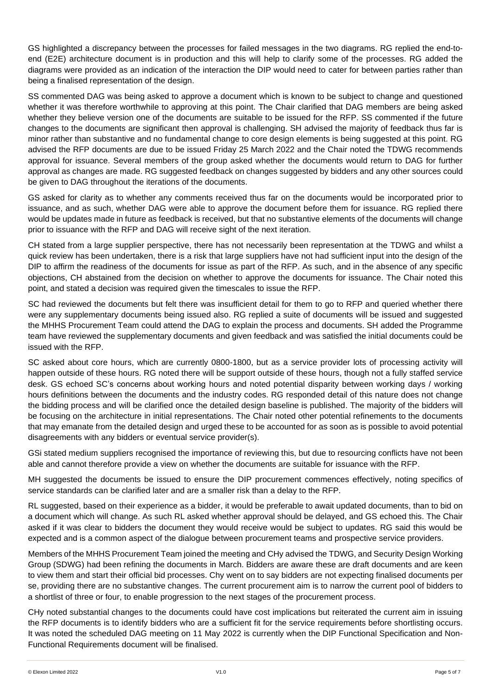GS highlighted a discrepancy between the processes for failed messages in the two diagrams. RG replied the end-toend (E2E) architecture document is in production and this will help to clarify some of the processes. RG added the diagrams were provided as an indication of the interaction the DIP would need to cater for between parties rather than being a finalised representation of the design.

SS commented DAG was being asked to approve a document which is known to be subject to change and questioned whether it was therefore worthwhile to approving at this point. The Chair clarified that DAG members are being asked whether they believe version one of the documents are suitable to be issued for the RFP. SS commented if the future changes to the documents are significant then approval is challenging. SH advised the majority of feedback thus far is minor rather than substantive and no fundamental change to core design elements is being suggested at this point. RG advised the RFP documents are due to be issued Friday 25 March 2022 and the Chair noted the TDWG recommends approval for issuance. Several members of the group asked whether the documents would return to DAG for further approval as changes are made. RG suggested feedback on changes suggested by bidders and any other sources could be given to DAG throughout the iterations of the documents.

GS asked for clarity as to whether any comments received thus far on the documents would be incorporated prior to issuance, and as such, whether DAG were able to approve the document before them for issuance. RG replied there would be updates made in future as feedback is received, but that no substantive elements of the documents will change prior to issuance with the RFP and DAG will receive sight of the next iteration.

CH stated from a large supplier perspective, there has not necessarily been representation at the TDWG and whilst a quick review has been undertaken, there is a risk that large suppliers have not had sufficient input into the design of the DIP to affirm the readiness of the documents for issue as part of the RFP. As such, and in the absence of any specific objections, CH abstained from the decision on whether to approve the documents for issuance. The Chair noted this point, and stated a decision was required given the timescales to issue the RFP.

SC had reviewed the documents but felt there was insufficient detail for them to go to RFP and queried whether there were any supplementary documents being issued also. RG replied a suite of documents will be issued and suggested the MHHS Procurement Team could attend the DAG to explain the process and documents. SH added the Programme team have reviewed the supplementary documents and given feedback and was satisfied the initial documents could be issued with the RFP.

SC asked about core hours, which are currently 0800-1800, but as a service provider lots of processing activity will happen outside of these hours. RG noted there will be support outside of these hours, though not a fully staffed service desk. GS echoed SC's concerns about working hours and noted potential disparity between working days / working hours definitions between the documents and the industry codes. RG responded detail of this nature does not change the bidding process and will be clarified once the detailed design baseline is published. The majority of the bidders will be focusing on the architecture in initial representations. The Chair noted other potential refinements to the documents that may emanate from the detailed design and urged these to be accounted for as soon as is possible to avoid potential disagreements with any bidders or eventual service provider(s).

GSi stated medium suppliers recognised the importance of reviewing this, but due to resourcing conflicts have not been able and cannot therefore provide a view on whether the documents are suitable for issuance with the RFP.

MH suggested the documents be issued to ensure the DIP procurement commences effectively, noting specifics of service standards can be clarified later and are a smaller risk than a delay to the RFP.

RL suggested, based on their experience as a bidder, it would be preferable to await updated documents, than to bid on a document which will change. As such RL asked whether approval should be delayed, and GS echoed this. The Chair asked if it was clear to bidders the document they would receive would be subject to updates. RG said this would be expected and is a common aspect of the dialogue between procurement teams and prospective service providers.

Members of the MHHS Procurement Team joined the meeting and CHy advised the TDWG, and Security Design Working Group (SDWG) had been refining the documents in March. Bidders are aware these are draft documents and are keen to view them and start their official bid processes. Chy went on to say bidders are not expecting finalised documents per se, providing there are no substantive changes. The current procurement aim is to narrow the current pool of bidders to a shortlist of three or four, to enable progression to the next stages of the procurement process.

CHy noted substantial changes to the documents could have cost implications but reiterated the current aim in issuing the RFP documents is to identify bidders who are a sufficient fit for the service requirements before shortlisting occurs. It was noted the scheduled DAG meeting on 11 May 2022 is currently when the DIP Functional Specification and Non-Functional Requirements document will be finalised.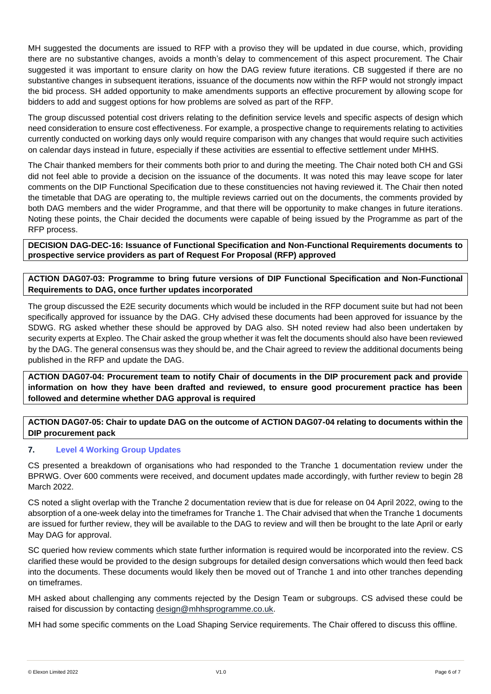MH suggested the documents are issued to RFP with a proviso they will be updated in due course, which, providing there are no substantive changes, avoids a month's delay to commencement of this aspect procurement. The Chair suggested it was important to ensure clarity on how the DAG review future iterations. CB suggested if there are no substantive changes in subsequent iterations, issuance of the documents now within the RFP would not strongly impact the bid process. SH added opportunity to make amendments supports an effective procurement by allowing scope for bidders to add and suggest options for how problems are solved as part of the RFP.

The group discussed potential cost drivers relating to the definition service levels and specific aspects of design which need consideration to ensure cost effectiveness. For example, a prospective change to requirements relating to activities currently conducted on working days only would require comparison with any changes that would require such activities on calendar days instead in future, especially if these activities are essential to effective settlement under MHHS.

The Chair thanked members for their comments both prior to and during the meeting. The Chair noted both CH and GSi did not feel able to provide a decision on the issuance of the documents. It was noted this may leave scope for later comments on the DIP Functional Specification due to these constituencies not having reviewed it. The Chair then noted the timetable that DAG are operating to, the multiple reviews carried out on the documents, the comments provided by both DAG members and the wider Programme, and that there will be opportunity to make changes in future iterations. Noting these points, the Chair decided the documents were capable of being issued by the Programme as part of the RFP process.

**DECISION DAG-DEC-16: Issuance of Functional Specification and Non-Functional Requirements documents to prospective service providers as part of Request For Proposal (RFP) approved** 

**ACTION DAG07-03: Programme to bring future versions of DIP Functional Specification and Non-Functional Requirements to DAG, once further updates incorporated**

The group discussed the E2E security documents which would be included in the RFP document suite but had not been specifically approved for issuance by the DAG. CHy advised these documents had been approved for issuance by the SDWG. RG asked whether these should be approved by DAG also. SH noted review had also been undertaken by security experts at Expleo. The Chair asked the group whether it was felt the documents should also have been reviewed by the DAG. The general consensus was they should be, and the Chair agreed to review the additional documents being published in the RFP and update the DAG.

**ACTION DAG07-04: Procurement team to notify Chair of documents in the DIP procurement pack and provide information on how they have been drafted and reviewed, to ensure good procurement practice has been followed and determine whether DAG approval is required**

**ACTION DAG07-05: Chair to update DAG on the outcome of ACTION DAG07-04 relating to documents within the DIP procurement pack**

# **7. Level 4 Working Group Updates**

CS presented a breakdown of organisations who had responded to the Tranche 1 documentation review under the BPRWG. Over 600 comments were received, and document updates made accordingly, with further review to begin 28 March 2022.

CS noted a slight overlap with the Tranche 2 documentation review that is due for release on 04 April 2022, owing to the absorption of a one-week delay into the timeframes for Tranche 1. The Chair advised that when the Tranche 1 documents are issued for further review, they will be available to the DAG to review and will then be brought to the late April or early May DAG for approval.

SC queried how review comments which state further information is required would be incorporated into the review. CS clarified these would be provided to the design subgroups for detailed design conversations which would then feed back into the documents. These documents would likely then be moved out of Tranche 1 and into other tranches depending on timeframes.

MH asked about challenging any comments rejected by the Design Team or subgroups. CS advised these could be raised for discussion by contacting [design@mhhsprogramme.co.uk.](mailto:design@mhhsprogramme.co.uk)

MH had some specific comments on the Load Shaping Service requirements. The Chair offered to discuss this offline.